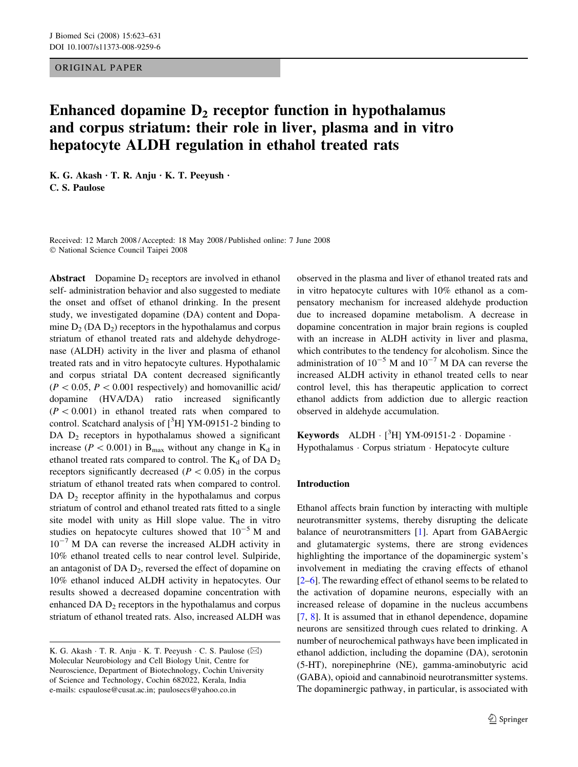## ORIGINAL PAPER

# Enhanced dopamine  $D<sub>2</sub>$  receptor function in hypothalamus and corpus striatum: their role in liver, plasma and in vitro hepatocyte ALDH regulation in ethahol treated rats

K. G. Akash  $\cdot$  T. R. Anju  $\cdot$  K. T. Peeyush  $\cdot$ C. S. Paulose

Received: 12 March 2008 / Accepted: 18 May 2008 / Published online: 7 June 2008 National Science Council Taipei 2008

**Abstract** Dopamine  $D_2$  receptors are involved in ethanol self- administration behavior and also suggested to mediate the onset and offset of ethanol drinking. In the present study, we investigated dopamine (DA) content and Dopamine  $D_2$  (DA  $D_2$ ) receptors in the hypothalamus and corpus striatum of ethanol treated rats and aldehyde dehydrogenase (ALDH) activity in the liver and plasma of ethanol treated rats and in vitro hepatocyte cultures. Hypothalamic and corpus striatal DA content decreased significantly  $(P < 0.05, P < 0.001$  respectively) and homovanillic acid/ dopamine (HVA/DA) ratio increased significantly  $(P < 0.001)$  in ethanol treated rats when compared to control. Scatchard analysis of  $[{}^3H]$  YM-09151-2 binding to DA  $D_2$  receptors in hypothalamus showed a significant increase ( $P < 0.001$ ) in B<sub>max</sub> without any change in K<sub>d</sub> in ethanol treated rats compared to control. The  $K_d$  of DA  $D_2$ receptors significantly decreased ( $P < 0.05$ ) in the corpus striatum of ethanol treated rats when compared to control. DA  $D_2$  receptor affinity in the hypothalamus and corpus striatum of control and ethanol treated rats fitted to a single site model with unity as Hill slope value. The in vitro studies on hepatocyte cultures showed that  $10^{-5}$  M and  $10^{-7}$  M DA can reverse the increased ALDH activity in 10% ethanol treated cells to near control level. Sulpiride, an antagonist of  $DA D_2$ , reversed the effect of dopamine on 10% ethanol induced ALDH activity in hepatocytes. Our results showed a decreased dopamine concentration with enhanced DA  $D_2$  receptors in the hypothalamus and corpus striatum of ethanol treated rats. Also, increased ALDH was observed in the plasma and liver of ethanol treated rats and in vitro hepatocyte cultures with 10% ethanol as a compensatory mechanism for increased aldehyde production due to increased dopamine metabolism. A decrease in dopamine concentration in major brain regions is coupled with an increase in ALDH activity in liver and plasma, which contributes to the tendency for alcoholism. Since the administration of  $10^{-5}$  M and  $10^{-7}$  M DA can reverse the increased ALDH activity in ethanol treated cells to near control level, this has therapeutic application to correct ethanol addicts from addiction due to allergic reaction observed in aldehyde accumulation.

Keywords ALDH  $\cdot$  [<sup>3</sup>H] YM-09151-2  $\cdot$  Dopamine  $\cdot$ Hypothalamus · Corpus striatum · Hepatocyte culture

## Introduction

Ethanol affects brain function by interacting with multiple neurotransmitter systems, thereby disrupting the delicate balance of neurotransmitters [[1\]](#page-7-0). Apart from GABAergic and glutamatergic systems, there are strong evidences highlighting the importance of the dopaminergic system's involvement in mediating the craving effects of ethanol [\[2–6](#page-7-0)]. The rewarding effect of ethanol seems to be related to the activation of dopamine neurons, especially with an increased release of dopamine in the nucleus accumbens [\[7](#page-7-0), [8](#page-7-0)]. It is assumed that in ethanol dependence, dopamine neurons are sensitized through cues related to drinking. A number of neurochemical pathways have been implicated in ethanol addiction, including the dopamine (DA), serotonin (5-HT), norepinephrine (NE), gamma-aminobutyric acid (GABA), opioid and cannabinoid neurotransmitter systems. The dopaminergic pathway, in particular, is associated with

K. G. Akash  $\cdot$  T. R. Anju  $\cdot$  K. T. Peeyush  $\cdot$  C. S. Paulose ( $\boxtimes$ ) Molecular Neurobiology and Cell Biology Unit, Centre for Neuroscience, Department of Biotechnology, Cochin University of Science and Technology, Cochin 682022, Kerala, India e-mails: cspaulose@cusat.ac.in; paulosecs@yahoo.co.in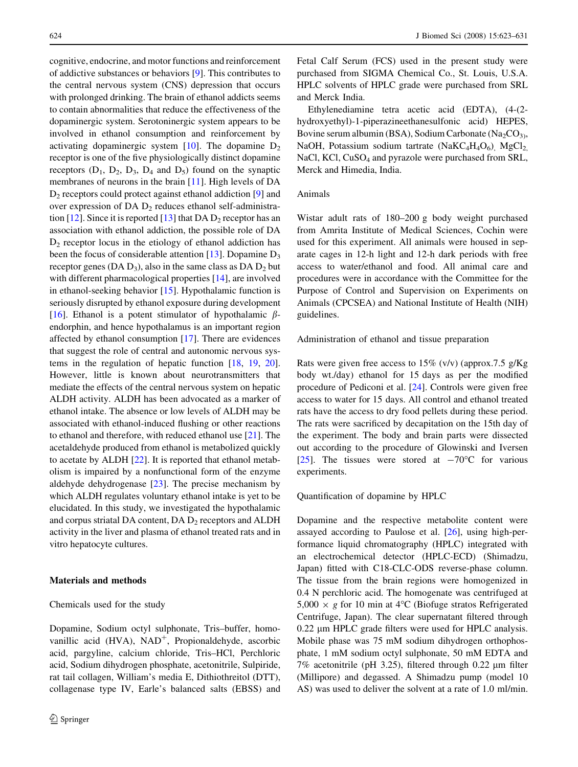cognitive, endocrine, and motor functions and reinforcement of addictive substances or behaviors [\[9](#page-7-0)]. This contributes to the central nervous system (CNS) depression that occurs with prolonged drinking. The brain of ethanol addicts seems to contain abnormalities that reduce the effectiveness of the dopaminergic system. Serotoninergic system appears to be involved in ethanol consumption and reinforcement by activating dopaminergic system  $[10]$  $[10]$ . The dopamine  $D<sub>2</sub>$ receptor is one of the five physiologically distinct dopamine receptors  $(D_1, D_2, D_3, D_4$  and  $D_5$ ) found on the synaptic membranes of neurons in the brain [[11\]](#page-7-0). High levels of DA  $D_2$  receptors could protect against ethanol addiction [[9\]](#page-7-0) and over expression of DA  $D_2$  reduces ethanol self-administra-tion [[12\]](#page-7-0). Since it is reported [\[13](#page-7-0)] that DA  $D_2$  receptor has an association with ethanol addiction, the possible role of DA  $D<sub>2</sub>$  receptor locus in the etiology of ethanol addiction has been the focus of considerable attention [[13\]](#page-7-0). Dopamine  $D_3$ receptor genes (DA  $D_3$ ), also in the same class as DA  $D_2$  but with different pharmacological properties [[14\]](#page-7-0), are involved in ethanol-seeking behavior [[15\]](#page-7-0). Hypothalamic function is seriously disrupted by ethanol exposure during development [\[16](#page-7-0)]. Ethanol is a potent stimulator of hypothalamic  $\beta$ endorphin, and hence hypothalamus is an important region affected by ethanol consumption [\[17](#page-7-0)]. There are evidences that suggest the role of central and autonomic nervous systems in the regulation of hepatic function [[18,](#page-7-0) [19,](#page-7-0) [20](#page-7-0)]. However, little is known about neurotransmitters that mediate the effects of the central nervous system on hepatic ALDH activity. ALDH has been advocated as a marker of ethanol intake. The absence or low levels of ALDH may be associated with ethanol-induced flushing or other reactions to ethanol and therefore, with reduced ethanol use [\[21](#page-7-0)]. The acetaldehyde produced from ethanol is metabolized quickly to acetate by ALDH [[22\]](#page-7-0). It is reported that ethanol metabolism is impaired by a nonfunctional form of the enzyme aldehyde dehydrogenase [\[23](#page-7-0)]. The precise mechanism by which ALDH regulates voluntary ethanol intake is yet to be elucidated. In this study, we investigated the hypothalamic and corpus striatal DA content,  $DA$   $D_2$  receptors and  $ALDH$ activity in the liver and plasma of ethanol treated rats and in vitro hepatocyte cultures.

## Materials and methods

#### Chemicals used for the study

Dopamine, Sodium octyl sulphonate, Tris–buffer, homovanillic acid  $(HVA)$ ,  $NAD^+$ , Propionaldehyde, ascorbic acid, pargyline, calcium chloride, Tris–HCl, Perchloric acid, Sodium dihydrogen phosphate, acetonitrile, Sulpiride, rat tail collagen, William's media E, Dithiothreitol (DTT), collagenase type IV, Earle's balanced salts (EBSS) and

Fetal Calf Serum (FCS) used in the present study were purchased from SIGMA Chemical Co., St. Louis, U.S.A. HPLC solvents of HPLC grade were purchased from SRL and Merck India.

Ethylenediamine tetra acetic acid (EDTA), (4-(2 hydroxyethyl)-1-piperazineethanesulfonic acid) HEPES, Bovine serum albumin (BSA), Sodium Carbonate (Na<sub>2</sub>CO<sub>3)</sub>, NaOH, Potassium sodium tartrate (Na $\text{KC}_4\text{H}_4\text{O}_6$ ), MgCl<sub>2</sub>, NaCl, KCl,  $CuSO<sub>4</sub>$  and pyrazole were purchased from SRL, Merck and Himedia, India.

## Animals

Wistar adult rats of 180–200 g body weight purchased from Amrita Institute of Medical Sciences, Cochin were used for this experiment. All animals were housed in separate cages in 12-h light and 12-h dark periods with free access to water/ethanol and food. All animal care and procedures were in accordance with the Committee for the Purpose of Control and Supervision on Experiments on Animals (CPCSEA) and National Institute of Health (NIH) guidelines.

Administration of ethanol and tissue preparation

Rats were given free access to 15% (v/v) (approx.7.5 g/Kg body wt./day) ethanol for 15 days as per the modified procedure of Pediconi et al. [[24\]](#page-7-0). Controls were given free access to water for 15 days. All control and ethanol treated rats have the access to dry food pellets during these period. The rats were sacrificed by decapitation on the 15th day of the experiment. The body and brain parts were dissected out according to the procedure of Glowinski and Iversen [\[25](#page-7-0)]. The tissues were stored at  $-70^{\circ}$ C for various experiments.

Quantification of dopamine by HPLC

Dopamine and the respective metabolite content were assayed according to Paulose et al. [\[26](#page-7-0)], using high-performance liquid chromatography (HPLC) integrated with an electrochemical detector (HPLC-ECD) (Shimadzu, Japan) fitted with C18-CLC-ODS reverse-phase column. The tissue from the brain regions were homogenized in 0.4 N perchloric acid. The homogenate was centrifuged at  $5,000 \times g$  for 10 min at 4°C (Biofuge stratos Refrigerated Centrifuge, Japan). The clear supernatant filtered through 0.22 µm HPLC grade filters were used for HPLC analysis. Mobile phase was 75 mM sodium dihydrogen orthophosphate, 1 mM sodium octyl sulphonate, 50 mM EDTA and  $7\%$  acetonitrile (pH 3.25), filtered through 0.22  $\mu$ m filter (Millipore) and degassed. A Shimadzu pump (model 10 AS) was used to deliver the solvent at a rate of 1.0 ml/min.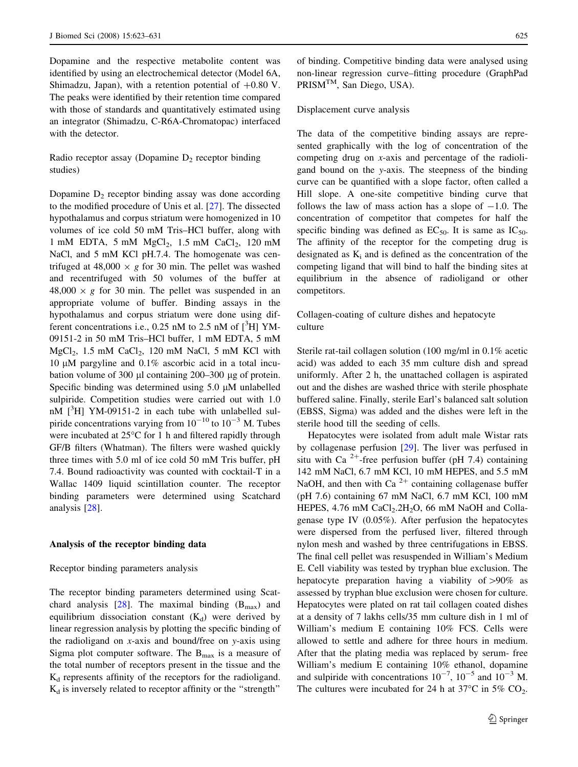Dopamine and the respective metabolite content was identified by using an electrochemical detector (Model 6A, Shimadzu, Japan), with a retention potential of  $+0.80$  V. The peaks were identified by their retention time compared with those of standards and quantitatively estimated using an integrator (Shimadzu, C-R6A-Chromatopac) interfaced with the detector.

Radio receptor assay (Dopamine  $D_2$  receptor binding studies)

Dopamine  $D_2$  receptor binding assay was done according to the modified procedure of Unis et al. [[27\]](#page-7-0). The dissected hypothalamus and corpus striatum were homogenized in 10 volumes of ice cold 50 mM Tris–HCl buffer, along with 1 mM EDTA, 5 mM  $MgCl<sub>2</sub>$ , 1.5 mM  $CaCl<sub>2</sub>$ , 120 mM NaCl, and 5 mM KCl pH.7.4. The homogenate was centrifuged at 48,000  $\times$  g for 30 min. The pellet was washed and recentrifuged with 50 volumes of the buffer at  $48,000 \times g$  for 30 min. The pellet was suspended in an appropriate volume of buffer. Binding assays in the hypothalamus and corpus striatum were done using different concentrations i.e., 0.25 nM to 2.5 nM of  $[$ <sup>3</sup>H] YM-09151-2 in 50 mM Tris–HCl buffer, 1 mM EDTA, 5 mM  $MgCl<sub>2</sub>$ , 1.5 mM CaCl<sub>2</sub>, 120 mM NaCl, 5 mM KCl with 10  $\mu$ M pargyline and 0.1% ascorbic acid in a total incubation volume of 300  $\mu$ l containing 200–300  $\mu$ g of protein. Specific binding was determined using  $5.0 \mu M$  unlabelled sulpiride. Competition studies were carried out with 1.0  $nM$  [ $^3H$ ] YM-09151-2 in each tube with unlabelled sulpiride concentrations varying from  $10^{-10}$  to  $10^{-3}$  M. Tubes were incubated at  $25^{\circ}$ C for 1 h and filtered rapidly through GF/B filters (Whatman). The filters were washed quickly three times with 5.0 ml of ice cold 50 mM Tris buffer, pH 7.4. Bound radioactivity was counted with cocktail-T in a Wallac 1409 liquid scintillation counter. The receptor binding parameters were determined using Scatchard analysis [[28\]](#page-7-0).

## Analysis of the receptor binding data

#### Receptor binding parameters analysis

The receptor binding parameters determined using Scat-chard analysis [[28\]](#page-7-0). The maximal binding  $(B<sub>max</sub>)$  and equilibrium dissociation constant  $(K_d)$  were derived by linear regression analysis by plotting the specific binding of the radioligand on x-axis and bound/free on y-axis using Sigma plot computer software. The  $B_{\text{max}}$  is a measure of the total number of receptors present in the tissue and the  $K_d$  represents affinity of the receptors for the radioligand.  $K_d$  is inversely related to receptor affinity or the "strength"

of binding. Competitive binding data were analysed using non-linear regression curve–fitting procedure (GraphPad PRISM<sup>TM</sup>, San Diego, USA).

## Displacement curve analysis

The data of the competitive binding assays are represented graphically with the log of concentration of the competing drug on x-axis and percentage of the radioligand bound on the y-axis. The steepness of the binding curve can be quantified with a slope factor, often called a Hill slope. A one-site competitive binding curve that follows the law of mass action has a slope of  $-1.0$ . The concentration of competitor that competes for half the specific binding was defined as  $EC_{50}$ . It is same as  $IC_{50}$ . The affinity of the receptor for the competing drug is designated as  $K_i$  and is defined as the concentration of the competing ligand that will bind to half the binding sites at equilibrium in the absence of radioligand or other competitors.

Collagen-coating of culture dishes and hepatocyte culture

Sterile rat-tail collagen solution (100 mg/ml in 0.1% acetic acid) was added to each 35 mm culture dish and spread uniformly. After 2 h, the unattached collagen is aspirated out and the dishes are washed thrice with sterile phosphate buffered saline. Finally, sterile Earl's balanced salt solution (EBSS, Sigma) was added and the dishes were left in the sterile hood till the seeding of cells.

Hepatocytes were isolated from adult male Wistar rats by collagenase perfusion [\[29](#page-7-0)]. The liver was perfused in situ with Ca  $2^+$ -free perfusion buffer (pH 7.4) containing 142 mM NaCl, 6.7 mM KCl, 10 mM HEPES, and 5.5 mM NaOH, and then with Ca<sup>2+</sup> containing collagenase buffer (pH 7.6) containing 67 mM NaCl, 6.7 mM KCl, 100 mM HEPES,  $4.76$  mM CaCl<sub>2</sub>.2H<sub>2</sub>O, 66 mM NaOH and Collagenase type IV (0.05%). After perfusion the hepatocytes were dispersed from the perfused liver, filtered through nylon mesh and washed by three centrifugations in EBSS. The final cell pellet was resuspended in William's Medium E. Cell viability was tested by tryphan blue exclusion. The hepatocyte preparation having a viability of  $>90\%$  as assessed by tryphan blue exclusion were chosen for culture. Hepatocytes were plated on rat tail collagen coated dishes at a density of 7 lakhs cells/35 mm culture dish in 1 ml of William's medium E containing 10% FCS. Cells were allowed to settle and adhere for three hours in medium. After that the plating media was replaced by serum- free William's medium E containing 10% ethanol, dopamine and sulpiride with concentrations  $10^{-7}$ ,  $10^{-5}$  and  $10^{-3}$  M. The cultures were incubated for 24 h at  $37^{\circ}$ C in  $5\%$  CO<sub>2</sub>.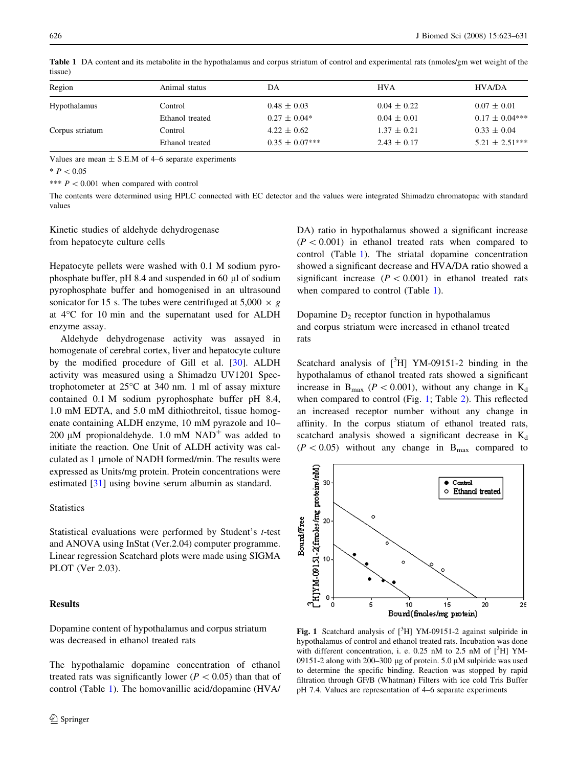| Region              | Animal status   | DА                  | <b>HVA</b>      | HVA/DA             |
|---------------------|-----------------|---------------------|-----------------|--------------------|
| <b>Hypothalamus</b> | Control         | $0.48 \pm 0.03$     | $0.04 \pm 0.22$ | $0.07 \pm 0.01$    |
|                     | Ethanol treated | $0.27 \pm 0.04*$    | $0.04 \pm 0.01$ | $0.17 \pm 0.04***$ |
| Corpus striatum     | Control         | $4.22 \pm 0.62$     | $1.37 \pm 0.21$ | $0.33 \pm 0.04$    |
|                     | Ethanol treated | $0.35 \pm 0.07$ *** | $2.43 \pm 0.17$ | $5.21 \pm 2.51***$ |
|                     |                 |                     |                 |                    |

Table 1 DA content and its metabolite in the hypothalamus and corpus striatum of control and experimental rats (nmoles/gm wet weight of the tissue)

Values are mean  $\pm$  S.E.M of 4–6 separate experiments

 $* P < 0.05$ 

\*\*\*  $P < 0.001$  when compared with control

The contents were determined using HPLC connected with EC detector and the values were integrated Shimadzu chromatopac with standard values

Kinetic studies of aldehyde dehydrogenase from hepatocyte culture cells

Hepatocyte pellets were washed with 0.1 M sodium pyrophosphate buffer, pH 8.4 and suspended in 60 µl of sodium pyrophosphate buffer and homogenised in an ultrasound sonicator for 15 s. The tubes were centrifuged at  $5,000 \times g$ at  $4^{\circ}$ C for 10 min and the supernatant used for ALDH enzyme assay.

Aldehyde dehydrogenase activity was assayed in homogenate of cerebral cortex, liver and hepatocyte culture by the modified procedure of Gill et al. [[30\]](#page-7-0). ALDH activity was measured using a Shimadzu UV1201 Spectrophotometer at  $25^{\circ}$ C at 340 nm. 1 ml of assay mixture contained 0.1 M sodium pyrophosphate buffer pH 8.4, 1.0 mM EDTA, and 5.0 mM dithiothreitol, tissue homogenate containing ALDH enzyme, 10 mM pyrazole and 10– 200  $\mu$ M propionaldehyde. 1.0 mM NAD<sup>+</sup> was added to initiate the reaction. One Unit of ALDH activity was calculated as 1 µmole of NADH formed/min. The results were expressed as Units/mg protein. Protein concentrations were estimated [\[31](#page-7-0)] using bovine serum albumin as standard.

## **Statistics**

Statistical evaluations were performed by Student's t-test and ANOVA using InStat (Ver.2.04) computer programme. Linear regression Scatchard plots were made using SIGMA PLOT (Ver 2.03).

## Results

Dopamine content of hypothalamus and corpus striatum was decreased in ethanol treated rats

The hypothalamic dopamine concentration of ethanol treated rats was significantly lower ( $P < 0.05$ ) than that of control (Table 1). The homovanillic acid/dopamine (HVA/ DA) ratio in hypothalamus showed a significant increase  $(P < 0.001)$  in ethanol treated rats when compared to control (Table 1). The striatal dopamine concentration showed a significant decrease and HVA/DA ratio showed a significant increase ( $P < 0.001$ ) in ethanol treated rats when compared to control (Table 1).

Dopamine  $D_2$  receptor function in hypothalamus and corpus striatum were increased in ethanol treated rats

Scatchard analysis of  $[^{3}H]$  YM-09151-2 binding in the hypothalamus of ethanol treated rats showed a significant increase in  $B_{\text{max}}$  ( $P < 0.001$ ), without any change in  $K_d$ when compared to control (Fig. 1; Table [2](#page-4-0)). This reflected an increased receptor number without any change in affinity. In the corpus stiatum of ethanol treated rats, scatchard analysis showed a significant decrease in  $K_d$  $(P<0.05)$  without any change in B<sub>max</sub> compared to



Fig. 1 Scatchard analysis of  $[{}^3H]$  YM-09151-2 against sulpiride in hypothalamus of control and ethanol treated rats. Incubation was done with different concentration, i. e. 0.25 nM to 2.5 nM of  $[^{3}H]$  YM-09151-2 along with 200-300 µg of protein. 5.0  $\mu$ M sulpiride was used to determine the specific binding. Reaction was stopped by rapid filtration through GF/B (Whatman) Filters with ice cold Tris Buffer pH 7.4. Values are representation of 4–6 separate experiments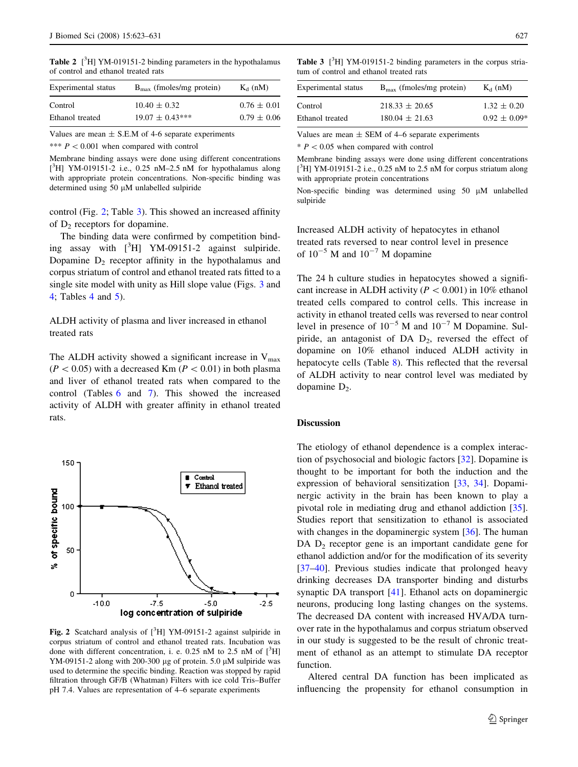<span id="page-4-0"></span>Table 2  $[^{3}H]$  YM-019151-2 binding parameters in the hypothalamus of control and ethanol treated rats

| Experimental status | $B_{\text{max}}$ (fmoles/mg protein) | $K_d$ (nM)      |
|---------------------|--------------------------------------|-----------------|
| Control             | $10.40 \pm 0.32$                     | $0.76 \pm 0.01$ |
| Ethanol treated     | $19.07 \pm 0.43***$                  | $0.79 \pm 0.06$ |

Values are mean  $\pm$  S.E.M of 4-6 separate experiments

\*\*\*  $P < 0.001$  when compared with control

Membrane binding assays were done using different concentrations [<sup>3</sup>H] YM-019151-2 i.e., 0.25 nM-2.5 nM for hypothalamus along with appropriate protein concentrations. Non-specific binding was determined using  $50 \mu M$  unlabelled sulpiride

control (Fig. 2; Table 3). This showed an increased affinity of  $D_2$  receptors for dopamine.

The binding data were confirmed by competition binding assay with  $[{}^{3}H]$  YM-09151-2 against sulpiride. Dopamine  $D_2$  receptor affinity in the hypothalamus and corpus striatum of control and ethanol treated rats fitted to a single site model with unity as Hill slope value (Figs. [3](#page-5-0) and [4](#page-5-0); Tables [4](#page-5-0) and [5](#page-5-0)).

ALDH activity of plasma and liver increased in ethanol treated rats

The ALDH activity showed a significant increase in  $V_{\text{max}}$  $(P<0.05)$  with a decreased Km ( $P<0.01$ ) in both plasma and liver of ethanol treated rats when compared to the control (Tables [6](#page-6-0) and [7\)](#page-6-0). This showed the increased activity of ALDH with greater affinity in ethanol treated rats.



Fig. 2 Scatchard analysis of  $[{}^3H]$  YM-09151-2 against sulpiride in corpus striatum of control and ethanol treated rats. Incubation was done with different concentration, i. e. 0.25 nM to 2.5 nM of  $[^3H]$ YM-09151-2 along with 200-300 µg of protein. 5.0  $\mu$ M sulpiride was used to determine the specific binding. Reaction was stopped by rapid filtration through GF/B (Whatman) Filters with ice cold Tris–Buffer pH 7.4. Values are representation of 4–6 separate experiments

Table 3 [<sup>3</sup>H] YM-019151-2 binding parameters in the corpus striatum of control and ethanol treated rats

| Experimental status | $B_{\text{max}}$ (fmoles/mg protein) | $K_d$ (nM)       |
|---------------------|--------------------------------------|------------------|
| Control             | $218.33 \pm 20.65$                   | $1.32 \pm 0.20$  |
| Ethanol treated     | $180.04 \pm 21.63$                   | $0.92 \pm 0.09*$ |

Values are mean  $\pm$  SEM of 4–6 separate experiments

 $* P < 0.05$  when compared with control

Membrane binding assays were done using different concentrations [<sup>3</sup>H] YM-019151-2 i.e., 0.25 nM to 2.5 nM for corpus striatum along with appropriate protein concentrations

Non-specific binding was determined using 50  $\mu$ M unlabelled sulpiride

Increased ALDH activity of hepatocytes in ethanol treated rats reversed to near control level in presence of  $10^{-5}$  M and  $10^{-7}$  M dopamine

The 24 h culture studies in hepatocytes showed a significant increase in ALDH activity ( $P < 0.001$ ) in 10% ethanol treated cells compared to control cells. This increase in activity in ethanol treated cells was reversed to near control level in presence of  $10^{-5}$  M and  $10^{-7}$  M Dopamine. Sulpiride, an antagonist of DA  $D_2$ , reversed the effect of dopamine on 10% ethanol induced ALDH activity in hepatocyte cells (Table [8](#page-6-0)). This reflected that the reversal of ALDH activity to near control level was mediated by dopamine  $D_2$ .

## **Discussion**

The etiology of ethanol dependence is a complex interaction of psychosocial and biologic factors [[32\]](#page-7-0). Dopamine is thought to be important for both the induction and the expression of behavioral sensitization [\[33](#page-8-0), [34](#page-8-0)]. Dopaminergic activity in the brain has been known to play a pivotal role in mediating drug and ethanol addiction [\[35](#page-8-0)]. Studies report that sensitization to ethanol is associated with changes in the dopaminergic system [[36\]](#page-8-0). The human DA  $D_2$  receptor gene is an important candidate gene for ethanol addiction and/or for the modification of its severity [\[37–40](#page-8-0)]. Previous studies indicate that prolonged heavy drinking decreases DA transporter binding and disturbs synaptic DA transport [[41\]](#page-8-0). Ethanol acts on dopaminergic neurons, producing long lasting changes on the systems. The decreased DA content with increased HVA/DA turnover rate in the hypothalamus and corpus striatum observed in our study is suggested to be the result of chronic treatment of ethanol as an attempt to stimulate DA receptor function.

Altered central DA function has been implicated as influencing the propensity for ethanol consumption in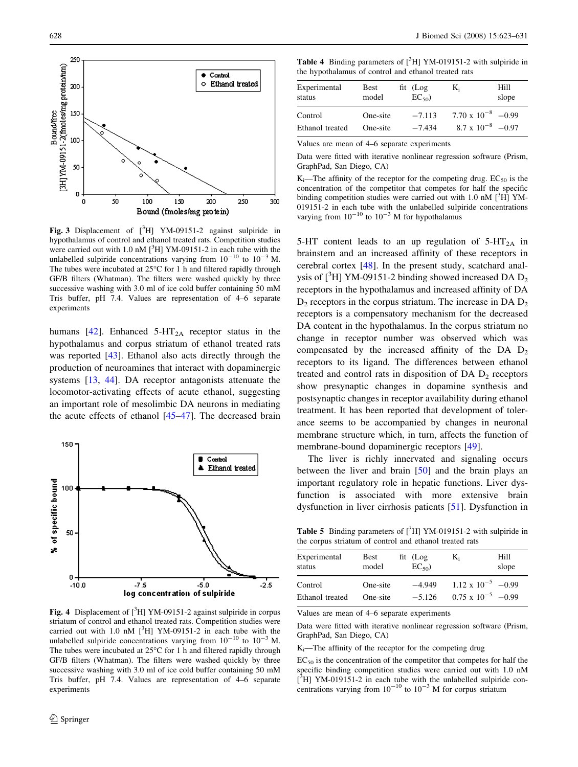<span id="page-5-0"></span>

Fig. 3 Displacement of  $[{}^{3}H]$  YM-09151-2 against sulpiride in hypothalamus of control and ethanol treated rats. Competition studies were carried out with  $1.0 \text{ nM}$  [ $^3$ H] YM-09151-2 in each tube with the unlabelled sulpiride concentrations varying from  $10^{-10}$  to  $10^{-3}$  M. The tubes were incubated at  $25^{\circ}$ C for 1 h and filtered rapidly through GF/B filters (Whatman). The filters were washed quickly by three successive washing with 3.0 ml of ice cold buffer containing 50 mM Tris buffer, pH 7.4. Values are representation of 4–6 separate experiments

humans [\[42](#page-8-0)]. Enhanced  $5-HT_{2A}$  receptor status in the hypothalamus and corpus striatum of ethanol treated rats was reported [[43](#page-8-0)]. Ethanol also acts directly through the production of neuroamines that interact with dopaminergic systems [[13,](#page-7-0) [44](#page-8-0)]. DA receptor antagonists attenuate the locomotor-activating effects of acute ethanol, suggesting an important role of mesolimbic DA neurons in mediating the acute effects of ethanol [\[45–47](#page-8-0)]. The decreased brain



Fig. 4 Displacement of  $[{}^3H]$  YM-09151-2 against sulpiride in corpus striatum of control and ethanol treated rats. Competition studies were carried out with 1.0 nM  $[$ <sup>3</sup>H] YM-09151-2 in each tube with the unlabelled sulpiride concentrations varying from  $10^{-10}$  to  $10^{-3}$  M. The tubes were incubated at  $25^{\circ}$ C for 1 h and filtered rapidly through GF/B filters (Whatman). The filters were washed quickly by three successive washing with 3.0 ml of ice cold buffer containing 50 mM Tris buffer, pH 7.4. Values are representation of 4–6 separate experiments

|  |  | <b>Table 4</b> Binding parameters of $[{}^{3}H]$ YM-019151-2 with sulpiride in |  |
|--|--|--------------------------------------------------------------------------------|--|
|  |  | the hypothalamus of control and ethanol treated rats                           |  |

| Experimental    | Best     | $fit$ (Log | $K_i$                       | Hill  |
|-----------------|----------|------------|-----------------------------|-------|
| status          | model    | $EC_{50}$  |                             | slope |
| Control         | One-site | $-7.113$   | $7.70 \times 10^{-8}$ -0.99 |       |
| Ethanol treated | One-site | $-7.434$   | $8.7 \times 10^{-8}$ -0.97  |       |

Values are mean of 4–6 separate experiments

Data were fitted with iterative nonlinear regression software (Prism, GraphPad, San Diego, CA)

K<sub>i</sub>—The affinity of the receptor for the competing drug.  $EC_{50}$  is the concentration of the competitor that competes for half the specific binding competition studies were carried out with 1.0 nM [<sup>3</sup>H] YM-019151-2 in each tube with the unlabelled sulpiride concentrations varying from  $10^{-10}$  to  $10^{-3}$  M for hypothalamus

5-HT content leads to an up regulation of  $5-HT_{2A}$  in brainstem and an increased affinity of these receptors in cerebral cortex [\[48](#page-8-0)]. In the present study, scatchard analysis of  $[^{3}H]$  YM-09151-2 binding showed increased DA  $D_2$ receptors in the hypothalamus and increased affinity of DA  $D_2$  receptors in the corpus striatum. The increase in DA  $D_2$ receptors is a compensatory mechanism for the decreased DA content in the hypothalamus. In the corpus striatum no change in receptor number was observed which was compensated by the increased affinity of the DA  $D<sub>2</sub>$ receptors to its ligand. The differences between ethanol treated and control rats in disposition of DA  $D_2$  receptors show presynaptic changes in dopamine synthesis and postsynaptic changes in receptor availability during ethanol treatment. It has been reported that development of tolerance seems to be accompanied by changes in neuronal membrane structure which, in turn, affects the function of membrane-bound dopaminergic receptors [[49\]](#page-8-0).

The liver is richly innervated and signaling occurs between the liver and brain [[50\]](#page-8-0) and the brain plays an important regulatory role in hepatic functions. Liver dysfunction is associated with more extensive brain dysfunction in liver cirrhosis patients [[51\]](#page-8-0). Dysfunction in

Table 5 Binding parameters of  $[{}^3H]$  YM-019151-2 with sulpiride in the corpus striatum of control and ethanol treated rats

| Experimental    | <b>Best</b> | $fit$ (Log | $K_i$                       | Hill  |
|-----------------|-------------|------------|-----------------------------|-------|
| status          | model       | $EC_{50}$  |                             | slope |
| Control         | One-site    | $-4.949$   | $1.12 \times 10^{-5}$ -0.99 |       |
| Ethanol treated | One-site    | $-5.126$   | $0.75 \times 10^{-5}$ -0.99 |       |

Values are mean of 4–6 separate experiments

Data were fitted with iterative nonlinear regression software (Prism, GraphPad, San Diego, CA)

 $K_i$ —The affinity of the receptor for the competing drug

 $EC_{50}$  is the concentration of the competitor that competes for half the specific binding competition studies were carried out with 1.0 nM  $[3H]$  YM-019151-2 in each tube with the unlabelled sulpiride concentrations varying from  $10^{-10}$  to  $10^{-3}$  M for corpus striatum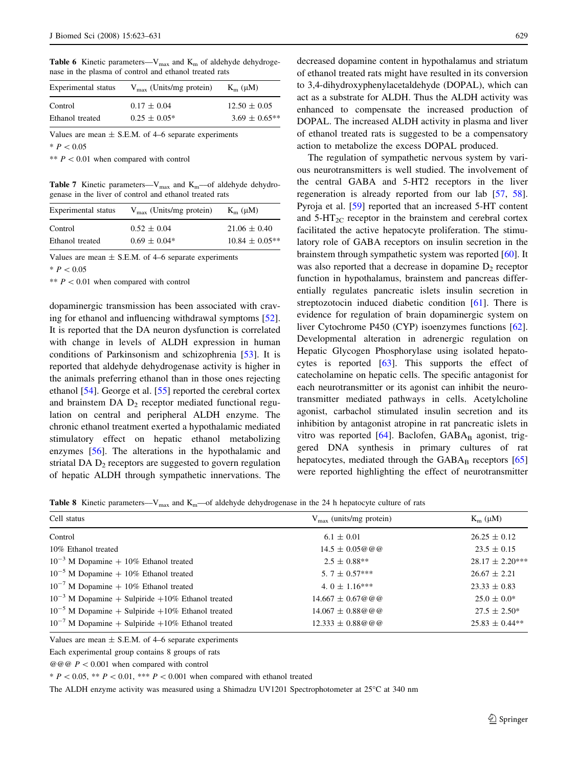<span id="page-6-0"></span>Table 6 Kinetic parameters— $V_{\text{max}}$  and  $K_{\text{m}}$  of aldehyde dehydrogenase in the plasma of control and ethanol treated rats

| Experimental status | $V_{\text{max}}$ (Units/mg protein) | $K_{m}(\mu M)$     |
|---------------------|-------------------------------------|--------------------|
| Control             | $0.17 \pm 0.04$                     | $12.50 \pm 0.05$   |
| Ethanol treated     | $0.25 \pm 0.05^*$                   | $3.69 \pm 0.65$ ** |

Values are mean  $\pm$  S.E.M. of 4–6 separate experiments  $* P < 0.05$ 

\*\*  $P < 0.01$  when compared with control

Table 7 Kinetic parameters– $V_{\text{max}}$  and  $K_{\text{m}}$ –of aldehyde dehydrogenase in the liver of control and ethanol treated rats

| Experimental status | $V_{\text{max}}$ (Units/mg protein) | $K_m$ ( $\mu$ M)   |
|---------------------|-------------------------------------|--------------------|
| Control             | $0.52 \pm 0.04$                     | $21.06 \pm 0.40$   |
| Ethanol treated     | $0.69 \pm 0.04*$                    | $10.84 \pm 0.05**$ |

Values are mean  $\pm$  S.E.M. of 4–6 separate experiments

 $* P < 0.05$ 

\*\*  $P < 0.01$  when compared with control

dopaminergic transmission has been associated with craving for ethanol and influencing withdrawal symptoms [\[52](#page-8-0)]. It is reported that the DA neuron dysfunction is correlated with change in levels of ALDH expression in human conditions of Parkinsonism and schizophrenia [\[53](#page-8-0)]. It is reported that aldehyde dehydrogenase activity is higher in the animals preferring ethanol than in those ones rejecting ethanol [\[54](#page-8-0)]. George et al. [\[55](#page-8-0)] reported the cerebral cortex and brainstem  $DA$   $D_2$  receptor mediated functional regulation on central and peripheral ALDH enzyme. The chronic ethanol treatment exerted a hypothalamic mediated stimulatory effect on hepatic ethanol metabolizing enzymes [[56\]](#page-8-0). The alterations in the hypothalamic and striatal DA  $D_2$  receptors are suggested to govern regulation of hepatic ALDH through sympathetic innervations. The

decreased dopamine content in hypothalamus and striatum of ethanol treated rats might have resulted in its conversion to 3,4-dihydroxyphenylacetaldehyde (DOPAL), which can act as a substrate for ALDH. Thus the ALDH activity was enhanced to compensate the increased production of DOPAL. The increased ALDH activity in plasma and liver of ethanol treated rats is suggested to be a compensatory action to metabolize the excess DOPAL produced.

The regulation of sympathetic nervous system by various neurotransmitters is well studied. The involvement of the central GABA and 5-HT2 receptors in the liver regeneration is already reported from our lab [[57,](#page-8-0) [58](#page-8-0)]. Pyroja et al. [\[59](#page-8-0)] reported that an increased 5-HT content and  $5-\text{HT}_{2C}$  receptor in the brainstem and cerebral cortex facilitated the active hepatocyte proliferation. The stimulatory role of GABA receptors on insulin secretion in the brainstem through sympathetic system was reported [[60\]](#page-8-0). It was also reported that a decrease in dopamine  $D_2$  receptor function in hypothalamus, brainstem and pancreas differentially regulates pancreatic islets insulin secretion in streptozotocin induced diabetic condition [\[61](#page-8-0)]. There is evidence for regulation of brain dopaminergic system on liver Cytochrome P450 (CYP) isoenzymes functions [\[62](#page-8-0)]. Developmental alteration in adrenergic regulation on Hepatic Glycogen Phosphorylase using isolated hepatocytes is reported [[63\]](#page-8-0). This supports the effect of catecholamine on hepatic cells. The specific antagonist for each neurotransmitter or its agonist can inhibit the neurotransmitter mediated pathways in cells. Acetylcholine agonist, carbachol stimulated insulin secretion and its inhibition by antagonist atropine in rat pancreatic islets in vitro was reported  $[64]$  $[64]$ . Baclofen,  $GABA_B$  agonist, triggered DNA synthesis in primary cultures of rat hepatocytes, mediated through the  $GABA_B$  receptors  $[65]$  $[65]$ were reported highlighting the effect of neurotransmitter

**Table 8** Kinetic parameters— $V_{\text{max}}$  and  $K_{\text{m}}$ —of aldehyde dehydrogenase in the 24 h hepatocyte culture of rats

| Cell status                                           | $V_{\text{max}}$ (units/mg protein) | $K_m$ ( $\mu$ M)    |  |
|-------------------------------------------------------|-------------------------------------|---------------------|--|
| Control                                               | $6.1 \pm 0.01$                      | $26.25 \pm 0.12$    |  |
| 10% Ethanol treated                                   | $14.5 \pm 0.05 @ @@{}$              | $23.5 \pm 0.15$     |  |
| $10^{-3}$ M Dopamine + 10% Ethanol treated            | $2.5 \pm 0.88**$                    | $28.17 \pm 2.20***$ |  |
| $10^{-5}$ M Dopamine + 10% Ethanol treated            | 5. 7 $\pm$ 0.57***                  | $26.67 \pm 2.21$    |  |
| $10^{-7}$ M Dopamine + 10% Ethanol treated            | 4. 0 $\pm$ 1.16***                  | $23.33 \pm 0.83$    |  |
| $10^{-3}$ M Dopamine + Sulpiride +10% Ethanol treated | $14.667 \pm 0.67 @ @@{}$            | $25.0 \pm 0.0^*$    |  |
| $10^{-5}$ M Dopamine + Sulpiride +10% Ethanol treated | $14.067 \pm 0.88 @ @@{}$            | $27.5 \pm 2.50^*$   |  |
| $10^{-7}$ M Dopamine + Sulpiride +10% Ethanol treated | $12.333 \pm 0.88 @ @@@{}$           | $25.83 \pm 0.44**$  |  |

Values are mean  $\pm$  S.E.M. of 4–6 separate experiments

Each experimental group contains 8 groups of rats

 $@@@P<0.001$  when compared with control

\*  $P < 0.05$ , \*\*  $P < 0.01$ , \*\*\*  $P < 0.001$  when compared with ethanol treated

The ALDH enzyme activity was measured using a Shimadzu UV1201 Spectrophotometer at 25°C at 340 nm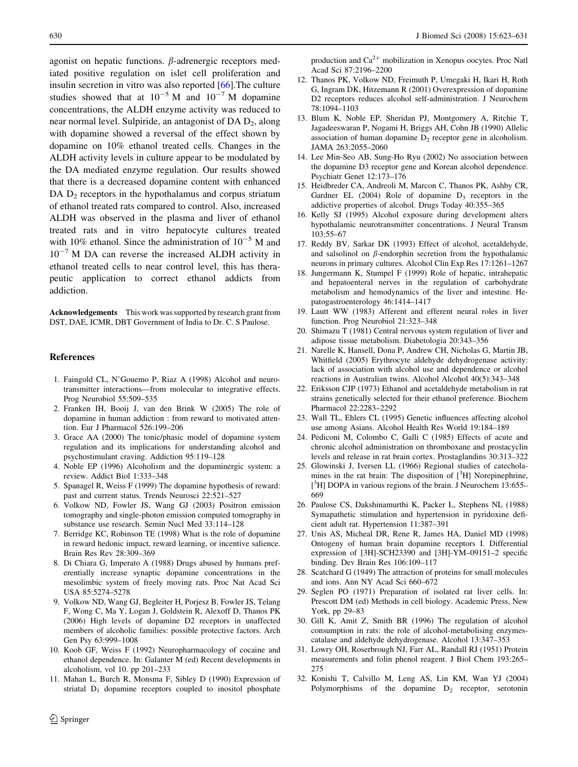<span id="page-7-0"></span>agonist on hepatic functions.  $\beta$ -adrenergic receptors mediated positive regulation on islet cell proliferation and insulin secretion in vitro was also reported [\[66](#page-8-0)].The culture studies showed that at  $10^{-5}$  M and  $10^{-7}$  M dopamine concentrations, the ALDH enzyme activity was reduced to near normal level. Sulpiride, an antagonist of  $DA D_2$ , along with dopamine showed a reversal of the effect shown by dopamine on 10% ethanol treated cells. Changes in the ALDH activity levels in culture appear to be modulated by the DA mediated enzyme regulation. Our results showed that there is a decreased dopamine content with enhanced DA  $D_2$  receptors in the hypothalamus and corpus striatum of ethanol treated rats compared to control. Also, increased ALDH was observed in the plasma and liver of ethanol treated rats and in vitro hepatocyte cultures treated with 10% ethanol. Since the administration of  $10^{-5}$  M and  $10^{-7}$  M DA can reverse the increased ALDH activity in ethanol treated cells to near control level, this has therapeutic application to correct ethanol addicts from addiction.

Acknowledgements This work was supported by research grant from DST, DAE, ICMR, DBT Government of India to Dr. C. S Paulose.

#### References

- 1. Faingold CL, N'Gouemo P, Riaz A (1998) Alcohol and neurotransmitter interactions––from molecular to integrative effects. Prog Neurobiol 55:509–535
- 2. Franken IH, Booij J, van den Brink W (2005) The role of dopamine in human addiction : from reward to motivated attention. Eur J Pharmacol 526:199–206
- 3. Grace AA (2000) The tonic/phasic model of dopamine system regulation and its implications for understanding alcohol and psychostimulant craving. Addiction 95:119–128
- 4. Noble EP (1996) Alcoholism and the dopaminergic system: a review. Addict Biol 1:333–348
- 5. Spanagel R, Weiss F (1999) The dopamine hypothesis of reward: past and current status. Trends Neurosci 22:521–527
- 6. Volkow ND, Fowler JS, Wang GJ (2003) Positron emission tomography and single-photon emission computed tomography in substance use research. Semin Nucl Med 33:114–128
- 7. Berridge KC, Robinson TE (1998) What is the role of dopamine in reward hedonic impact, reward learning, or incentive salience. Brain Res Rev 28:309–369
- 8. Di Chiara G, Imperato A (1988) Drugs abused by humans preferentially increase synaptic dopamine concentrations in the mesolimbic system of freely moving rats. Proc Nat Acad Sci USA 85:5274–5278
- 9. Volkow ND, Wang GJ, Begleiter H, Porjesz B, Fowler JS, Telang F, Wong C, Ma Y, Logan J, Goldstein R, Alexoff D, Thanos PK (2006) High levels of dopamine D2 receptors in unaffected members of alcoholic families: possible protective factors. Arch Gen Psy 63:999–1008
- 10. Koob GF, Weiss F (1992) Neuropharmacology of cocaine and ethanol dependence. In: Galanter M (ed) Recent developments in alcoholism, vol 10. pp 201–233
- 11. Mahan L, Burch R, Monsma F, Sibley D (1990) Expression of striatal  $D_1$  dopamine receptors coupled to inositol phosphate

production and  $Ca^{2+}$  mobilization in Xenopus oocytes. Proc Natl Acad Sci 87:2196–2200

- 12. Thanos PK, Volkow ND, Freimuth P, Umegaki H, Ikari H, Roth G, Ingram DK, Hitzemann R (2001) Overexpression of dopamine D2 receptors reduces alcohol self-administration. J Neurochem 78:1094–1103
- 13. Blum K, Noble EP, Sheridan PJ, Montgomery A, Ritchie T, Jagadeeswaran P, Nogami H, Briggs AH, Cohn JB (1990) Allelic association of human dopamine  $D_2$  receptor gene in alcoholism. JAMA 263:2055–2060
- 14. Lee Min-Seo AB, Sung-Ho Ryu (2002) No association between the dopamine D3 receptor gene and Korean alcohol dependence. Psychiatr Genet 12:173–176
- 15. Heidbreder CA, Andreoli M, Marcon C, Thanos PK, Ashby CR, Gardner EL  $(2004)$  Role of dopamine  $D_3$  receptors in the addictive properties of alcohol. Drugs Today 40:355–365
- 16. Kelly SJ (1995) Alcohol exposure during development alters hypothalamic neurotransmitter concentrations. J Neural Transm 103:55–67
- 17. Reddy BV, Sarkar DK (1993) Effect of alcohol, acetaldehyde, and salsolinol on  $\beta$ -endorphin secretion from the hypothalamic neurons in primary cultures. Alcohol Clin Exp Res 17:1261–1267
- 18. Jungermann K, Stumpel F (1999) Role of hepatic, intrahepatic and hepatoenteral nerves in the regulation of carbohydrate metabolism and hemodynamics of the liver and intestine. Hepatogastroenterology 46:1414–1417
- 19. Lautt WW (1983) Afferent and efferent neural roles in liver function. Prog Neurobiol 21:323–348
- 20. Shimazu T (1981) Central nervous system regulation of liver and adipose tissue metabolism. Diabetologia 20:343–356
- 21. Narelle K, Hansell, Dona P, Andrew CH, Nicholas G, Martin JB, Whitfield (2005) Erythrocyte aldehyde dehydrogenase activity: lack of association with alcohol use and dependence or alcohol reactions in Australian twins. Alcohol Alcohol 40(5):343–348
- 22. Eriksson CJP (1973) Ethanol and acetaldehyde metabolism in rat strains genetically selected for their ethanol preference. Biochem Pharmacol 22:2283–2292
- 23. Wall TL, Ehlers CL (1995) Genetic influences affecting alcohol use among Asians. Alcohol Health Res World 19:184–189
- 24. Pediconi M, Colombo C, Galli C (1985) Effects of acute and chronic alcohol administration on thromboxane and prostacyclin levels and release in rat brain cortex. Prostaglandins 30:313–322
- 25. Glowinski J, Iversen LL (1966) Regional studies of catecholamines in the rat brain: The disposition of  $[^{3}H]$  Norepinephrine, [<sup>3</sup>H] DOPA in various regions of the brain. J Neurochem 13:655-669
- 26. Paulose CS, Dakshinamurthi K, Packer L, Stephens NL (1988) Symapathetic stimulation and hypertension in pyridoxine deficient adult rat. Hypertension 11:387–391
- 27. Unis AS, Micheal DR, Rene R, James HA, Daniel MD (1998) Ontogeny of human brain dopamine receptors I. Differential expression of [3H]-SCH23390 and [3H]-YM–09151–2 specific binding. Dev Brain Res 106:109–117
- 28. Scatchard G (1949) The attraction of proteins for small molecules and ions. Ann NY Acad Sci 660–672
- 29. Seglen PO (1971) Preparation of isolated rat liver cells. In: Prescott DM (ed) Methods in cell biology. Academic Press, New York, pp 29–83
- 30. Gill K, Amit Z, Smith BR (1996) The regulation of alcohol consumption in rats: the role of alcohol-metabolising enzymescatalase and aldehyde dehydrogenase. Alcohol 13:347–353
- 31. Lowry OH, Roserbrough NJ, Farr AL, Randall RJ (1951) Protein measurements and folin phenol reagent. J Biol Chem 193:265– 275
- 32. Konishi T, Calvillo M, Leng AS, Lin KM, Wan YJ (2004) Polymorphisms of the dopamine  $D_2$  receptor, serotonin